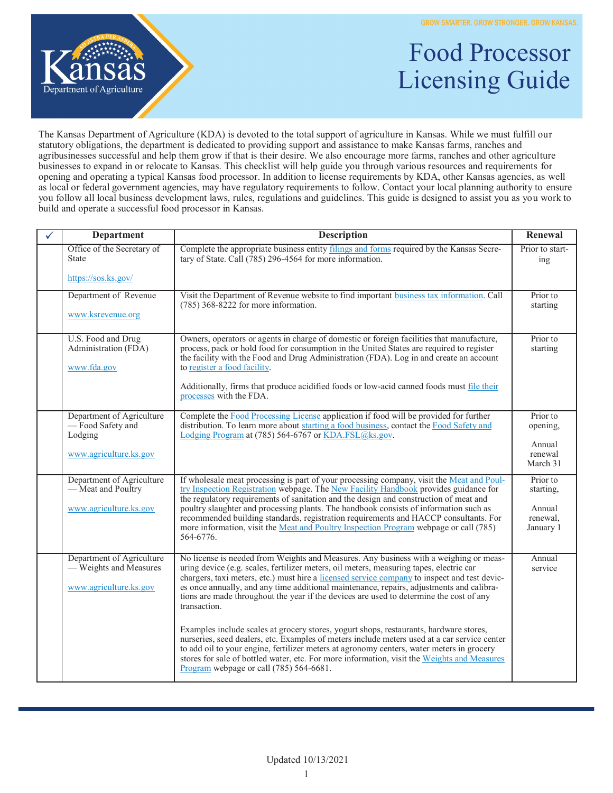

## Food Processor Licensing Guide

The Kansas Department of Agriculture (KDA) is devoted to the total support of agriculture in Kansas. While we must fulfill our statutory obligations, the department is dedicated to providing support and assistance to make Kansas farms, ranches and agribusinesses successful and help them grow if that is their desire. We also encourage more farms, ranches and other agriculture businesses to expand in or relocate to Kansas. This checklist will help guide you through various resources and requirements for opening and operating a typical Kansas food processor. In addition to license requirements by KDA, other Kansas agencies, as well as local or federal government agencies, may have regulatory requirements to follow. Contact your local planning authority to ensure you follow all local business development laws, rules, regulations and guidelines. This guide is designed to assist you as you work to build and operate a successful food processor in Kansas.

| <b>Department</b>                                                                  | <b>Description</b>                                                                                                                                                                                                                                                                                                                                                                                                                                                                                                                                                | Renewal                                                  |
|------------------------------------------------------------------------------------|-------------------------------------------------------------------------------------------------------------------------------------------------------------------------------------------------------------------------------------------------------------------------------------------------------------------------------------------------------------------------------------------------------------------------------------------------------------------------------------------------------------------------------------------------------------------|----------------------------------------------------------|
| Office of the Secretary of<br><b>State</b>                                         | Complete the appropriate business entity filings and forms required by the Kansas Secre-<br>tary of State. Call (785) 296-4564 for more information.                                                                                                                                                                                                                                                                                                                                                                                                              | Prior to start-<br>ing                                   |
| https://sos.ks.gov/                                                                |                                                                                                                                                                                                                                                                                                                                                                                                                                                                                                                                                                   |                                                          |
| Department of Revenue<br>www.ksrevenue.org                                         | Visit the Department of Revenue website to find important business tax information. Call<br>$(785)$ 368-8222 for more information.                                                                                                                                                                                                                                                                                                                                                                                                                                | Prior to<br>starting                                     |
| U.S. Food and Drug<br>Administration (FDA)<br>www.fda.gov                          | Owners, operators or agents in charge of domestic or foreign facilities that manufacture,<br>process, pack or hold food for consumption in the United States are required to register<br>the facility with the Food and Drug Administration (FDA). Log in and create an account<br>to register a food facility.<br>Additionally, firms that produce acidified foods or low-acid canned foods must file their<br>processes with the FDA.                                                                                                                           | Prior to<br>starting                                     |
| Department of Agriculture<br>-Food Safety and<br>Lodging<br>www.agriculture.ks.gov | Complete the Food Processing License application if food will be provided for further<br>distribution. To learn more about starting a food business, contact the Food Safety and<br>Lodging Program at (785) 564-6767 or KDA.FSL@ks.gov.                                                                                                                                                                                                                                                                                                                          | Prior to<br>opening,<br>Annual<br>renewal<br>March 31    |
| Department of Agriculture<br>— Meat and Poultry<br>www.agriculture.ks.gov          | If wholesale meat processing is part of your processing company, visit the Meat and Poul-<br>try Inspection Registration webpage. The New Facility Handbook provides guidance for<br>the regulatory requirements of sanitation and the design and construction of meat and<br>poultry slaughter and processing plants. The handbook consists of information such as<br>recommended building standards, registration requirements and HACCP consultants. For<br>more information, visit the Meat and Poultry Inspection Program webpage or call (785)<br>564-6776. | Prior to<br>starting,<br>Annual<br>renewal,<br>January 1 |
| Department of Agriculture<br>- Weights and Measures<br>www.agriculture.ks.gov      | No license is needed from Weights and Measures. Any business with a weighing or meas-<br>uring device (e.g. scales, fertilizer meters, oil meters, measuring tapes, electric car<br>chargers, taxi meters, etc.) must hire a licensed service company to inspect and test devic-<br>es once annually, and any time additional maintenance, repairs, adjustments and calibra-<br>tions are made throughout the year if the devices are used to determine the cost of any<br>transaction.                                                                           | Annual<br>service                                        |
|                                                                                    | Examples include scales at grocery stores, yogurt shops, restaurants, hardware stores,<br>nurseries, seed dealers, etc. Examples of meters include meters used at a car service center<br>to add oil to your engine, fertilizer meters at agronomy centers, water meters in grocery<br>stores for sale of bottled water, etc. For more information, visit the Weights and Measures<br>Program webpage or call (785) 564-6681.                                                                                                                                     |                                                          |